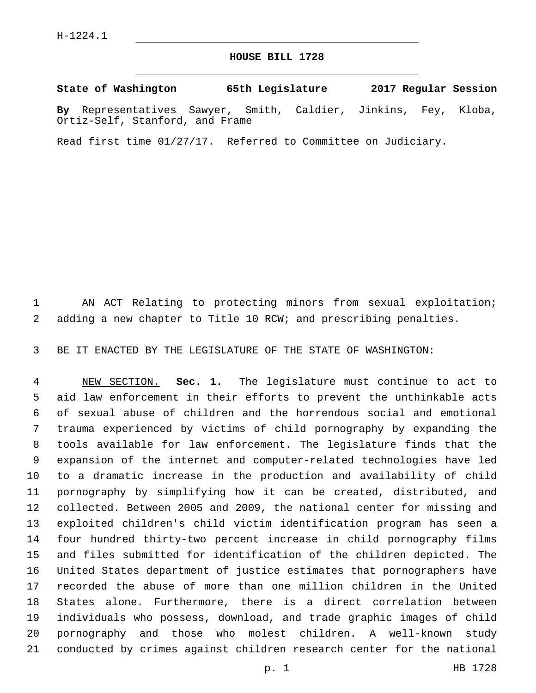## **HOUSE BILL 1728**

**State of Washington 65th Legislature 2017 Regular Session**

**By** Representatives Sawyer, Smith, Caldier, Jinkins, Fey, Kloba, Ortiz-Self, Stanford, and Frame

Read first time 01/27/17. Referred to Committee on Judiciary.

 AN ACT Relating to protecting minors from sexual exploitation; adding a new chapter to Title 10 RCW; and prescribing penalties.

BE IT ENACTED BY THE LEGISLATURE OF THE STATE OF WASHINGTON:

 NEW SECTION. **Sec. 1.** The legislature must continue to act to aid law enforcement in their efforts to prevent the unthinkable acts of sexual abuse of children and the horrendous social and emotional trauma experienced by victims of child pornography by expanding the tools available for law enforcement. The legislature finds that the expansion of the internet and computer-related technologies have led to a dramatic increase in the production and availability of child pornography by simplifying how it can be created, distributed, and collected. Between 2005 and 2009, the national center for missing and exploited children's child victim identification program has seen a four hundred thirty-two percent increase in child pornography films and files submitted for identification of the children depicted. The United States department of justice estimates that pornographers have recorded the abuse of more than one million children in the United States alone. Furthermore, there is a direct correlation between individuals who possess, download, and trade graphic images of child pornography and those who molest children. A well-known study conducted by crimes against children research center for the national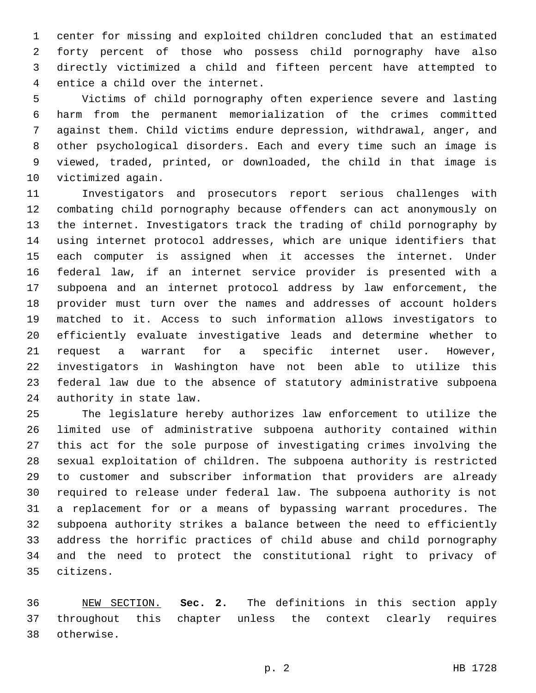center for missing and exploited children concluded that an estimated forty percent of those who possess child pornography have also directly victimized a child and fifteen percent have attempted to 4 entice a child over the internet.

 Victims of child pornography often experience severe and lasting harm from the permanent memorialization of the crimes committed against them. Child victims endure depression, withdrawal, anger, and other psychological disorders. Each and every time such an image is viewed, traded, printed, or downloaded, the child in that image is 10 victimized again.

 Investigators and prosecutors report serious challenges with combating child pornography because offenders can act anonymously on the internet. Investigators track the trading of child pornography by using internet protocol addresses, which are unique identifiers that each computer is assigned when it accesses the internet. Under federal law, if an internet service provider is presented with a subpoena and an internet protocol address by law enforcement, the provider must turn over the names and addresses of account holders matched to it. Access to such information allows investigators to efficiently evaluate investigative leads and determine whether to request a warrant for a specific internet user. However, investigators in Washington have not been able to utilize this federal law due to the absence of statutory administrative subpoena 24 authority in state law.

 The legislature hereby authorizes law enforcement to utilize the limited use of administrative subpoena authority contained within this act for the sole purpose of investigating crimes involving the sexual exploitation of children. The subpoena authority is restricted to customer and subscriber information that providers are already required to release under federal law. The subpoena authority is not a replacement for or a means of bypassing warrant procedures. The subpoena authority strikes a balance between the need to efficiently address the horrific practices of child abuse and child pornography and the need to protect the constitutional right to privacy of citizens.35

 NEW SECTION. **Sec. 2.** The definitions in this section apply throughout this chapter unless the context clearly requires otherwise.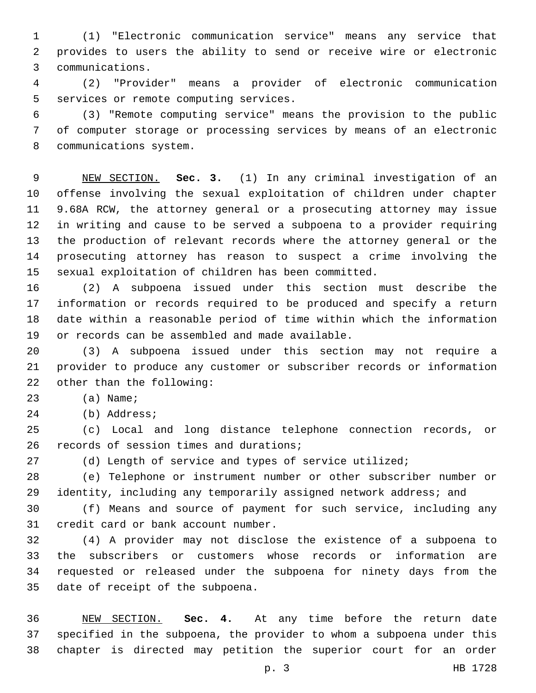(1) "Electronic communication service" means any service that provides to users the ability to send or receive wire or electronic communications.3

 (2) "Provider" means a provider of electronic communication 5 services or remote computing services.

 (3) "Remote computing service" means the provision to the public of computer storage or processing services by means of an electronic 8 communications system.

 NEW SECTION. **Sec. 3.** (1) In any criminal investigation of an offense involving the sexual exploitation of children under chapter 9.68A RCW, the attorney general or a prosecuting attorney may issue in writing and cause to be served a subpoena to a provider requiring the production of relevant records where the attorney general or the prosecuting attorney has reason to suspect a crime involving the sexual exploitation of children has been committed.

 (2) A subpoena issued under this section must describe the information or records required to be produced and specify a return date within a reasonable period of time within which the information 19 or records can be assembled and made available.

 (3) A subpoena issued under this section may not require a provider to produce any customer or subscriber records or information 22 other than the following:

23 (a) Name;

24 (b) Address;

 (c) Local and long distance telephone connection records, or 26 records of session times and durations;

27 (d) Length of service and types of service utilized;

 (e) Telephone or instrument number or other subscriber number or identity, including any temporarily assigned network address; and

 (f) Means and source of payment for such service, including any 31 credit card or bank account number.

 (4) A provider may not disclose the existence of a subpoena to the subscribers or customers whose records or information are requested or released under the subpoena for ninety days from the 35 date of receipt of the subpoena.

 NEW SECTION. **Sec. 4.** At any time before the return date specified in the subpoena, the provider to whom a subpoena under this chapter is directed may petition the superior court for an order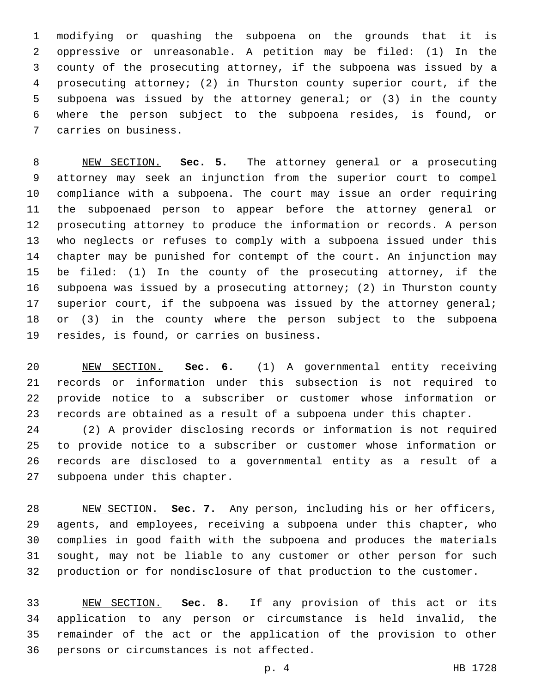modifying or quashing the subpoena on the grounds that it is oppressive or unreasonable. A petition may be filed: (1) In the county of the prosecuting attorney, if the subpoena was issued by a prosecuting attorney; (2) in Thurston county superior court, if the subpoena was issued by the attorney general; or (3) in the county where the person subject to the subpoena resides, is found, or 7 carries on business.

 NEW SECTION. **Sec. 5.** The attorney general or a prosecuting attorney may seek an injunction from the superior court to compel compliance with a subpoena. The court may issue an order requiring the subpoenaed person to appear before the attorney general or prosecuting attorney to produce the information or records. A person who neglects or refuses to comply with a subpoena issued under this chapter may be punished for contempt of the court. An injunction may be filed: (1) In the county of the prosecuting attorney, if the subpoena was issued by a prosecuting attorney; (2) in Thurston county superior court, if the subpoena was issued by the attorney general; or (3) in the county where the person subject to the subpoena resides, is found, or carries on business.

 NEW SECTION. **Sec. 6.** (1) A governmental entity receiving records or information under this subsection is not required to provide notice to a subscriber or customer whose information or records are obtained as a result of a subpoena under this chapter.

 (2) A provider disclosing records or information is not required to provide notice to a subscriber or customer whose information or records are disclosed to a governmental entity as a result of a 27 subpoena under this chapter.

 NEW SECTION. **Sec. 7.** Any person, including his or her officers, agents, and employees, receiving a subpoena under this chapter, who complies in good faith with the subpoena and produces the materials sought, may not be liable to any customer or other person for such production or for nondisclosure of that production to the customer.

 NEW SECTION. **Sec. 8.** If any provision of this act or its application to any person or circumstance is held invalid, the remainder of the act or the application of the provision to other persons or circumstances is not affected.